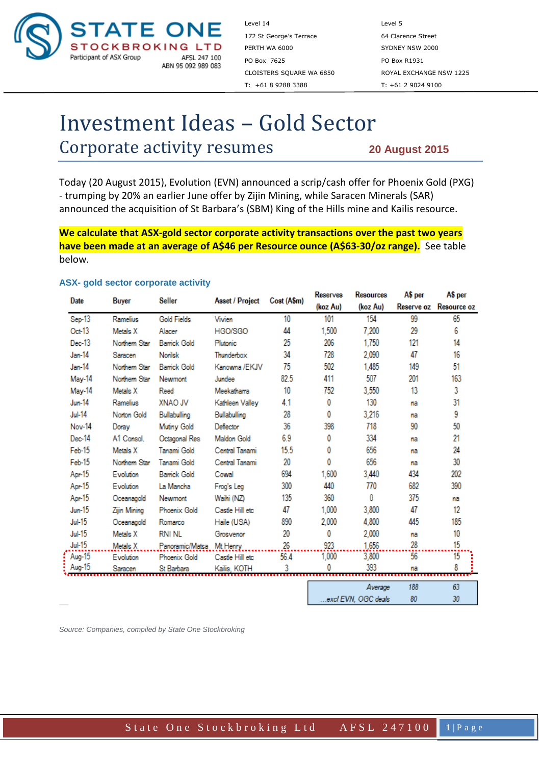

Level 14 Level 5 172 St George's Terrace 64 Clarence Street PERTH WA 6000 SYDNEY NSW 2000 PO Box 7625 PO Box R1931 T: +61 8 9288 3388 T: +61 2 9024 9100

CLOISTERS SQUARE WA 6850 ROYAL EXCHANGE NSW 1225

# Investment Ideas – Gold Sector Corporate activity resumes

**20 August 2015**

Today (20 August 2015), Evolution (EVN) announced a scrip/cash offer for Phoenix Gold (PXG) - trumping by 20% an earlier June offer by Zijin Mining, while Saracen Minerals (SAR) announced the acquisition of St Barbara's (SBM) King of the Hills mine and Kailis resource.

**We calculate that ASX-gold sector corporate activity transactions over the past two years have been made at an average of A\$46 per Resource ounce (A\$63-30/oz range).** See table below.

#### **ASX- gold sector corporate activity**

| Date          | Buyer         | Seller                   | <b>Asset / Project</b> | Cost (A\$m) | <b>Reserves</b> | <b>Kesources</b>   | A\$ per | A\$ per                |
|---------------|---------------|--------------------------|------------------------|-------------|-----------------|--------------------|---------|------------------------|
|               |               |                          |                        |             | (koz Au)        | (koz Au)           |         | Reserve oz Resource oz |
| Sep-13        | Ramelius      | <b>Gold Fields</b>       | Vivien                 | 10          | 101             | 154                | 99      | 65                     |
| Oct 13        | Metals X      | Alacer                   | HGO/SGO                | 44          | 1,500           | 7,200              | 29      | 6                      |
| Dec-13        | Northern Star | <b>Bamick Gold</b>       | Plutonic               | 25          | 206             | 1,750              | 121     | 14                     |
| Jan-14        | Saracen       | <b>Norilsk</b>           | Thunderbox             | 34          | 728             | 2,090              | 47      | 16                     |
| Jan-14        | Northern Star | <b>Bamck Gold</b>        | Kanowna /EKJV          | 75          | 502             | 1,485              | 149     | 51                     |
| May-14        | Northern Star | Newmont                  | Jundee                 | 82.5        | 411             | 507                | 201     | 163                    |
| May-14        | Metals X      | Reed                     | Meekathama             | 10          | 752             | 3,550              | 13      | 3                      |
| <b>Jun-14</b> | Ramelius      | XNAO JV                  | Kathleen Vallev        | 4.1         | 0               | 130                | na      | 31                     |
| <b>Jul-14</b> | Norton Gold   | Bullabulling             | Bullabulling           | 28          | 0               | 3,216              | na      | 9                      |
| Nov-14        | Doray         | Mutiny Gold              | Deflector              | 36          | 398             | 718                | 90      | 50                     |
| Dec-14        | A1 Consol.    | Octagonal Res            | <b>Maldon Gold</b>     | 6.9         | 0               | 334                | na      | 21                     |
| Feb-15        | Metals X      | Tanami Gold              | Central Tanami         | 15.5        | 0               | 656                | na      | 24                     |
| Feb-15        | Northern Star | Tanami Gold              | Central Tanami         | 20          | 0               | 656                | na      | 30                     |
| Apr 15        | Evolution     | <b>Barrick Gold</b>      | Cowal                  | 694         | 1,600           | 3,440              | 434     | 202                    |
| Apr 15        | Evolution     | La Mancha                | Frog's Leg             | 300         | 440             | 770                | 682     | 390                    |
| Apr 15        | Oceanagold    | Newmont                  | Waihi (NZ)             | 135         | 360             | 0                  | 375     | na                     |
| $Jun-15$      | Zijin Mining  | <b>Phoenix Gold</b>      | Castle Hill etc        | 47          | 1,000           | 3,800              | 47      | 12                     |
| <b>Jul-15</b> | Oceanagold    | Romarco                  | Haile (USA)            | 890         | 2,000           | 4.800              | 445     | 185                    |
| <b>Jul-15</b> | Metals X      | <b>RNI NL</b>            | Grosvenor              | 20          | 0               | 2,000              | na      | 10                     |
| <b>Jul 15</b> | Metals X      | Panoramic/Matsa Mt Henry |                        | 26          | 923             | 1.656              | 28      | 15                     |
| Aug-15        | Evolution     | <b>Phoenix Gold</b>      | Castle Hill etc        | 56.4        | 1,000           | 3,800              | 56      | 15                     |
| Aug-15        | Saracen       | St Barbara               | Kailis, KOTH           | 3           |                 | 393                | na      | 8                      |
|               |               |                          |                        |             |                 |                    |         |                        |
|               |               |                          |                        |             |                 | Average            | 188     | 63<br>$20 -$           |
|               |               |                          |                        |             |                 | aval EVN OGC deals | RO.     |                        |

*Source: Companies, compiled by State One Stockbroking*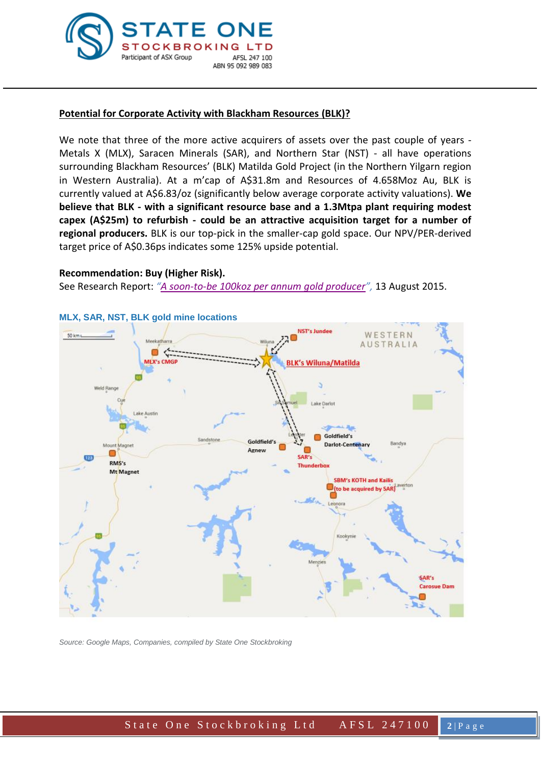

## **Potential for Corporate Activity with Blackham Resources (BLK)?**

We note that three of the more active acquirers of assets over the past couple of years -Metals X (MLX), Saracen Minerals (SAR), and Northern Star (NST) - all have operations surrounding Blackham Resources' (BLK) Matilda Gold Project (in the Northern Yilgarn region in Western Australia). At a m'cap of A\$31.8m and Resources of 4.658Moz Au, BLK is currently valued at A\$6.83/oz (significantly below average corporate activity valuations). **We believe that BLK - with a significant resource base and a 1.3Mtpa plant requiring modest capex (A\$25m) to refurbish - could be an attractive acquisition target for a number of regional producers.** BLK is our top-pick in the smaller-cap gold space. Our NPV/PER-derived target price of A\$0.36ps indicates some 125% upside potential.

### **Recommendation: Buy (Higher Risk).**

See Research Report: *"[A soon-to-be 100koz per annum gold producer](file://storesyd/users/dbrennan/Blackham%20(BLK)_20150813.pdf)",* 13 August 2015.



# **MLX, SAR, NST, BLK gold mine locations**

*Source: Google Maps, Companies, compiled by State One Stockbroking*